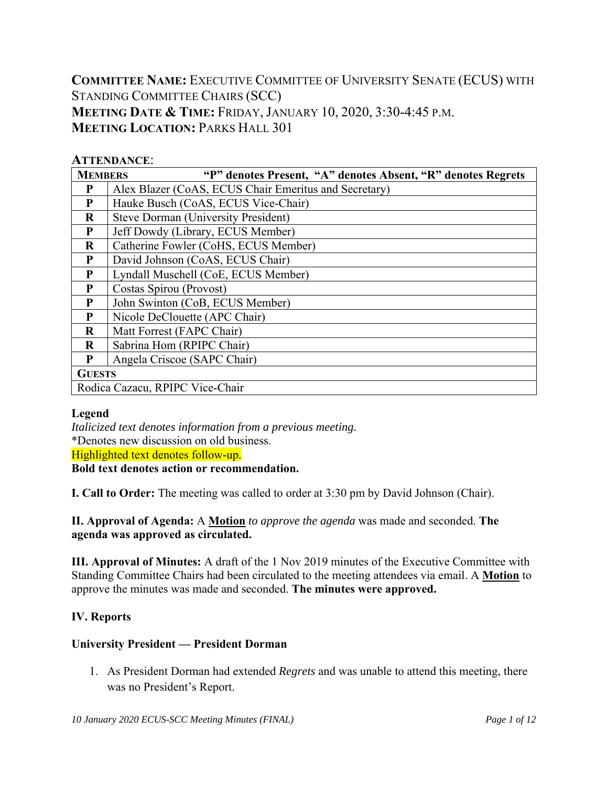**COMMITTEE NAME:** EXECUTIVE COMMITTEE OF UNIVERSITY SENATE (ECUS) WITH STANDING COMMITTEE CHAIRS (SCC) **MEETING DATE & TIME:** FRIDAY, JANUARY 10, 2020, 3:30-4:45 P.M. **MEETING LOCATION: PARKS HALL 301** 

#### **ATTENDANCE**:

| "P" denotes Present, "A" denotes Absent, "R" denotes Regrets<br><b>MEMBERS</b> |                                                       |  |  |  |  |  |  |  |
|--------------------------------------------------------------------------------|-------------------------------------------------------|--|--|--|--|--|--|--|
| P                                                                              | Alex Blazer (CoAS, ECUS Chair Emeritus and Secretary) |  |  |  |  |  |  |  |
| P                                                                              | Hauke Busch (CoAS, ECUS Vice-Chair)                   |  |  |  |  |  |  |  |
| $\bf{R}$                                                                       | <b>Steve Dorman (University President)</b>            |  |  |  |  |  |  |  |
| P                                                                              | Jeff Dowdy (Library, ECUS Member)                     |  |  |  |  |  |  |  |
| $\bf R$                                                                        | Catherine Fowler (CoHS, ECUS Member)                  |  |  |  |  |  |  |  |
| P                                                                              | David Johnson (CoAS, ECUS Chair)                      |  |  |  |  |  |  |  |
| P                                                                              | Lyndall Muschell (CoE, ECUS Member)                   |  |  |  |  |  |  |  |
| P                                                                              | Costas Spirou (Provost)                               |  |  |  |  |  |  |  |
| P                                                                              | John Swinton (CoB, ECUS Member)                       |  |  |  |  |  |  |  |
| P                                                                              | Nicole DeClouette (APC Chair)                         |  |  |  |  |  |  |  |
| $\mathbf R$                                                                    | Matt Forrest (FAPC Chair)                             |  |  |  |  |  |  |  |
| $\bf R$                                                                        | Sabrina Hom (RPIPC Chair)                             |  |  |  |  |  |  |  |
| P                                                                              | Angela Criscoe (SAPC Chair)                           |  |  |  |  |  |  |  |
| <b>GUESTS</b>                                                                  |                                                       |  |  |  |  |  |  |  |
|                                                                                | Rodica Cazacu, RPIPC Vice-Chair                       |  |  |  |  |  |  |  |

#### **Legend**

*Italicized text denotes information from a previous meeting.*  \*Denotes new discussion on old business. Highlighted text denotes follow-up. **Bold text denotes action or recommendation.** 

**I. Call to Order:** The meeting was called to order at 3:30 pm by David Johnson (Chair).

**II. Approval of Agenda:** A **Motion** *to approve the agenda* was made and seconded. **The agenda was approved as circulated.** 

**III. Approval of Minutes:** A draft of the 1 Nov 2019 minutes of the Executive Committee with Standing Committee Chairs had been circulated to the meeting attendees via email. A **Motion** to approve the minutes was made and seconded. **The minutes were approved.**

# **IV. Reports**

#### **University President — President Dorman**

1. As President Dorman had extended *Regrets* and was unable to attend this meeting, there was no President's Report.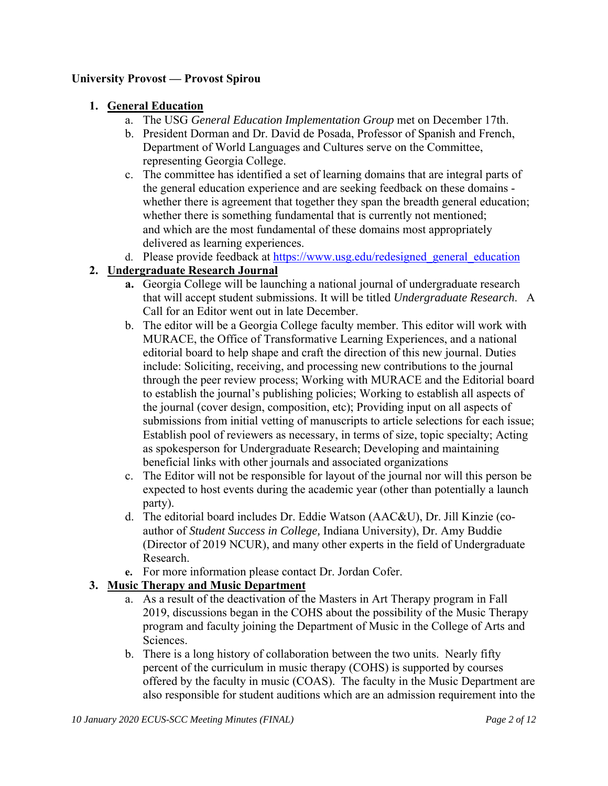#### **University Provost — Provost Spirou**

#### **1. General Education**

- a. The USG *General Education Implementation Group* met on December 17th.
- b. President Dorman and Dr. David de Posada, Professor of Spanish and French, Department of World Languages and Cultures serve on the Committee, representing Georgia College.
- c. The committee has identified a set of learning domains that are integral parts of the general education experience and are seeking feedback on these domains whether there is agreement that together they span the breadth general education; whether there is something fundamental that is currently not mentioned; and which are the most fundamental of these domains most appropriately delivered as learning experiences.
- d. Please provide feedback at https://www.usg.edu/redesigned\_general\_education

#### **2. Undergraduate Research Journal**

- **a.** Georgia College will be launching a national journal of undergraduate research that will accept student submissions. It will be titled *Undergraduate Research*. A Call for an Editor went out in late December.
- b. The editor will be a Georgia College faculty member. This editor will work with MURACE, the Office of Transformative Learning Experiences, and a national editorial board to help shape and craft the direction of this new journal. Duties include: Soliciting, receiving, and processing new contributions to the journal through the peer review process; Working with MURACE and the Editorial board to establish the journal's publishing policies; Working to establish all aspects of the journal (cover design, composition, etc); Providing input on all aspects of submissions from initial vetting of manuscripts to article selections for each issue; Establish pool of reviewers as necessary, in terms of size, topic specialty; Acting as spokesperson for Undergraduate Research; Developing and maintaining beneficial links with other journals and associated organizations
- c. The Editor will not be responsible for layout of the journal nor will this person be expected to host events during the academic year (other than potentially a launch party).
- d. The editorial board includes Dr. Eddie Watson (AAC&U), Dr. Jill Kinzie (coauthor of *Student Success in College,* Indiana University), Dr. Amy Buddie (Director of 2019 NCUR), and many other experts in the field of Undergraduate Research.
- **e.** For more information please contact Dr. Jordan Cofer.

#### **3. Music Therapy and Music Department**

- a. As a result of the deactivation of the Masters in Art Therapy program in Fall 2019, discussions began in the COHS about the possibility of the Music Therapy program and faculty joining the Department of Music in the College of Arts and Sciences.
- b. There is a long history of collaboration between the two units. Nearly fifty percent of the curriculum in music therapy (COHS) is supported by courses offered by the faculty in music (COAS). The faculty in the Music Department are also responsible for student auditions which are an admission requirement into the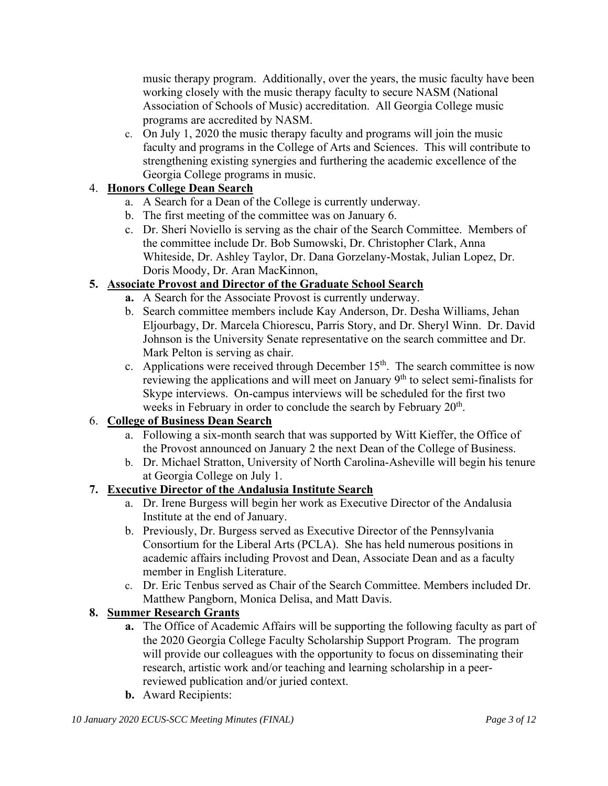music therapy program. Additionally, over the years, the music faculty have been working closely with the music therapy faculty to secure NASM (National Association of Schools of Music) accreditation. All Georgia College music programs are accredited by NASM.

c. On July 1, 2020 the music therapy faculty and programs will join the music faculty and programs in the College of Arts and Sciences. This will contribute to strengthening existing synergies and furthering the academic excellence of the Georgia College programs in music.

# 4. **Honors College Dean Search**

- a. A Search for a Dean of the College is currently underway.
- b. The first meeting of the committee was on January 6.
- c. Dr. Sheri Noviello is serving as the chair of the Search Committee. Members of the committee include Dr. Bob Sumowski, Dr. Christopher Clark, Anna Whiteside, Dr. Ashley Taylor, Dr. Dana Gorzelany-Mostak, Julian Lopez, Dr. Doris Moody, Dr. Aran MacKinnon,

# **5. Associate Provost and Director of the Graduate School Search**

- **a.** A Search for the Associate Provost is currently underway.
- b. Search committee members include Kay Anderson, Dr. Desha Williams, Jehan Eljourbagy, Dr. Marcela Chiorescu, Parris Story, and Dr. Sheryl Winn. Dr. David Johnson is the University Senate representative on the search committee and Dr. Mark Pelton is serving as chair.
- c. Applications were received through December  $15<sup>th</sup>$ . The search committee is now reviewing the applications and will meet on January  $9<sup>th</sup>$  to select semi-finalists for Skype interviews. On-campus interviews will be scheduled for the first two weeks in February in order to conclude the search by February 20<sup>th</sup>.

# 6. **College of Business Dean Search**

- a. Following a six-month search that was supported by Witt Kieffer, the Office of the Provost announced on January 2 the next Dean of the College of Business.
- b. Dr. Michael Stratton, University of North Carolina-Asheville will begin his tenure at Georgia College on July 1.

# **7. Executive Director of the Andalusia Institute Search**

- a. Dr. Irene Burgess will begin her work as Executive Director of the Andalusia Institute at the end of January.
- b. Previously, Dr. Burgess served as Executive Director of the Pennsylvania Consortium for the Liberal Arts (PCLA). She has held numerous positions in academic affairs including Provost and Dean, Associate Dean and as a faculty member in English Literature.
- c. Dr. Eric Tenbus served as Chair of the Search Committee. Members included Dr. Matthew Pangborn, Monica Delisa, and Matt Davis.

# **8. Summer Research Grants**

- **a.** The Office of Academic Affairs will be supporting the following faculty as part of the 2020 Georgia College Faculty Scholarship Support Program. The program will provide our colleagues with the opportunity to focus on disseminating their research, artistic work and/or teaching and learning scholarship in a peerreviewed publication and/or juried context.
- **b.** Award Recipients: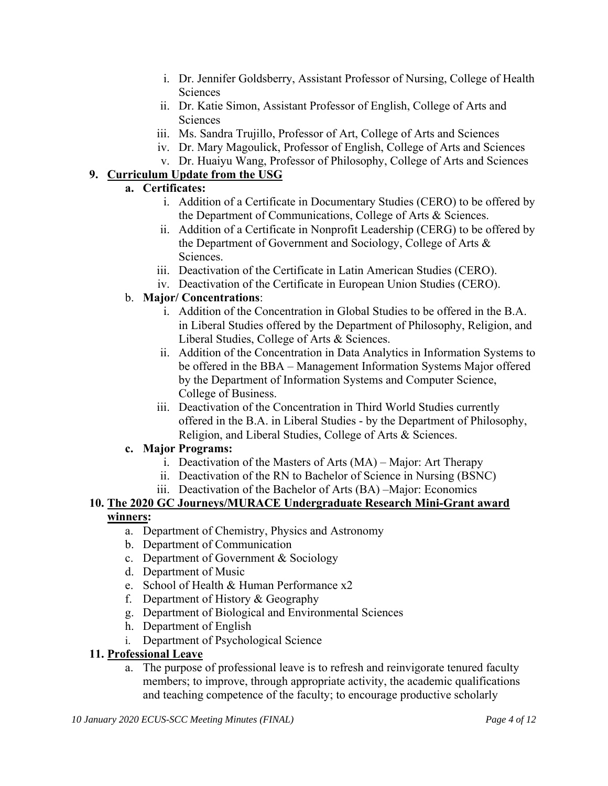- i. Dr. Jennifer Goldsberry, Assistant Professor of Nursing, College of Health Sciences
- ii. Dr. Katie Simon, Assistant Professor of English, College of Arts and Sciences
- iii. Ms. Sandra Trujillo, Professor of Art, College of Arts and Sciences
- iv. Dr. Mary Magoulick, Professor of English, College of Arts and Sciences
- v. Dr. Huaiyu Wang, Professor of Philosophy, College of Arts and Sciences

# **9. Curriculum Update from the USG**

# **a. Certificates:**

- i. Addition of a Certificate in Documentary Studies (CERO) to be offered by the Department of Communications, College of Arts & Sciences.
- ii. Addition of a Certificate in Nonprofit Leadership (CERG) to be offered by the Department of Government and Sociology, College of Arts & Sciences.
- iii. Deactivation of the Certificate in Latin American Studies (CERO).
- iv. Deactivation of the Certificate in European Union Studies (CERO).

#### b. **Major/ Concentrations**:

- i. Addition of the Concentration in Global Studies to be offered in the B.A. in Liberal Studies offered by the Department of Philosophy, Religion, and Liberal Studies, College of Arts & Sciences.
- ii. Addition of the Concentration in Data Analytics in Information Systems to be offered in the BBA – Management Information Systems Major offered by the Department of Information Systems and Computer Science, College of Business.
- iii. Deactivation of the Concentration in Third World Studies currently offered in the B.A. in Liberal Studies - by the Department of Philosophy, Religion, and Liberal Studies, College of Arts & Sciences.

# **c. Major Programs:**

- i. Deactivation of the Masters of Arts (MA) Major: Art Therapy
- ii. Deactivation of the RN to Bachelor of Science in Nursing (BSNC)
- iii. Deactivation of the Bachelor of Arts (BA) –Major: Economics

#### **10. The 2020 GC Journeys/MURACE Undergraduate Research Mini-Grant award winners:**

- a. Department of Chemistry, Physics and Astronomy
- b. Department of Communication
- c. Department of Government & Sociology
- d. Department of Music
- e. School of Health & Human Performance x2
- f. Department of History & Geography
- g. Department of Biological and Environmental Sciences
- h. Department of English
- i. Department of Psychological Science
- **11. Professional Leave** 
	- a. The purpose of professional leave is to refresh and reinvigorate tenured faculty members; to improve, through appropriate activity, the academic qualifications and teaching competence of the faculty; to encourage productive scholarly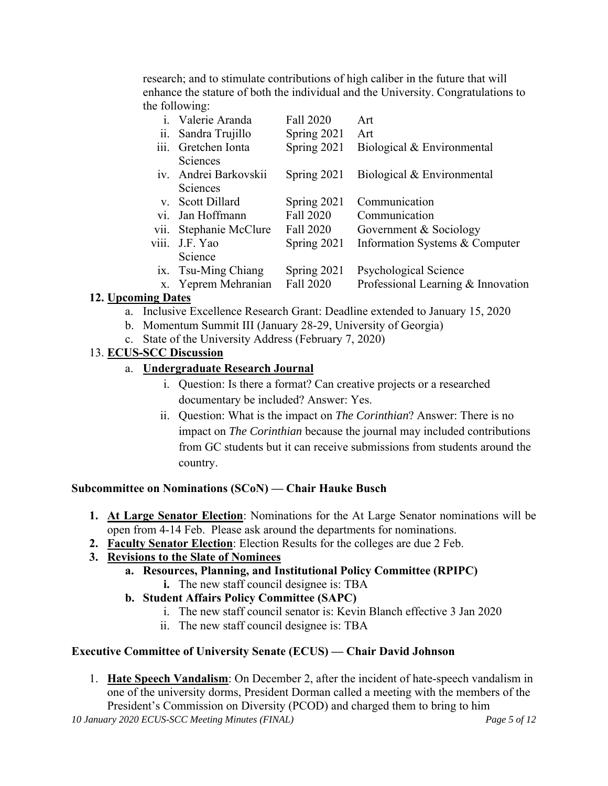research; and to stimulate contributions of high caliber in the future that will enhance the stature of both the individual and the University. Congratulations to the following:

|                | i. Valerie Aranda    | Fall 2020     | Art                                |
|----------------|----------------------|---------------|------------------------------------|
| ii.            | Sandra Trujillo      | Spring $2021$ | Art                                |
| iii.           | Gretchen Ionta       | Spring 2021   | Biological & Environmental         |
|                | Sciences             |               |                                    |
| iv.            | Andrei Barkovskii    | Spring $2021$ | Biological & Environmental         |
|                | Sciences             |               |                                    |
| $V_{\cdot}$    | <b>Scott Dillard</b> | Spring 2021   | Communication                      |
| vi.            | Jan Hoffmann         | Fall 2020     | Communication                      |
| vii.           | Stephanie McClure    | Fall 2020     | Government & Sociology             |
| viii.          | J.F. Yao             | Spring 2021   | Information Systems & Computer     |
|                | Science              |               |                                    |
| $\mathbf{X}$ . | Tsu-Ming Chiang      | Spring 2021   | Psychological Science              |
|                | x. Yeprem Mehranian  | Fall 2020     | Professional Learning & Innovation |

# **12. Upcoming Dates**

- a. Inclusive Excellence Research Grant: Deadline extended to January 15, 2020
- b. Momentum Summit III (January 28-29, University of Georgia)
- c. State of the University Address (February 7, 2020)

#### 13. **ECUS-SCC Discussion**

#### a. **Undergraduate Research Journal**

- i. Question: Is there a format? Can creative projects or a researched documentary be included? Answer: Yes.
- ii. Question: What is the impact on *The Corinthian*? Answer: There is no impact on *The Corinthian* because the journal may included contributions from GC students but it can receive submissions from students around the country.

#### **Subcommittee on Nominations (SCoN) — Chair Hauke Busch**

- **1. At Large Senator Election**: Nominations for the At Large Senator nominations will be open from 4-14 Feb. Please ask around the departments for nominations.
- **2. Faculty Senator Election**: Election Results for the colleges are due 2 Feb.

# **3. Revisions to the Slate of Nominees**

- **a. Resources, Planning, and Institutional Policy Committee (RPIPC)**
	- **i.** The new staff council designee is: TBA
- **b. Student Affairs Policy Committee (SAPC)** 
	- i. The new staff council senator is: Kevin Blanch effective 3 Jan 2020
	- ii. The new staff council designee is: TBA

# **Executive Committee of University Senate (ECUS) — Chair David Johnson**

1. **Hate Speech Vandalism**: On December 2, after the incident of hate-speech vandalism in one of the university dorms, President Dorman called a meeting with the members of the President's Commission on Diversity (PCOD) and charged them to bring to him

*10 January 2020 ECUS-SCC Meeting Minutes (FINAL) Page 5 of 12*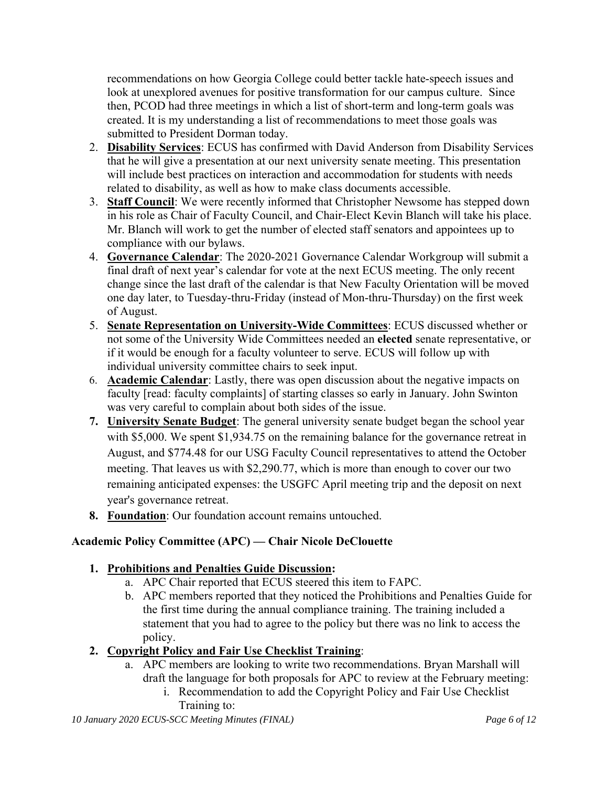recommendations on how Georgia College could better tackle hate-speech issues and look at unexplored avenues for positive transformation for our campus culture. Since then, PCOD had three meetings in which a list of short-term and long-term goals was created. It is my understanding a list of recommendations to meet those goals was submitted to President Dorman today.

- 2. **Disability Services**: ECUS has confirmed with David Anderson from Disability Services that he will give a presentation at our next university senate meeting. This presentation will include best practices on interaction and accommodation for students with needs related to disability, as well as how to make class documents accessible.
- 3. **Staff Council**: We were recently informed that Christopher Newsome has stepped down in his role as Chair of Faculty Council, and Chair-Elect Kevin Blanch will take his place. Mr. Blanch will work to get the number of elected staff senators and appointees up to compliance with our bylaws.
- 4. **Governance Calendar**: The 2020-2021 Governance Calendar Workgroup will submit a final draft of next year's calendar for vote at the next ECUS meeting. The only recent change since the last draft of the calendar is that New Faculty Orientation will be moved one day later, to Tuesday-thru-Friday (instead of Mon-thru-Thursday) on the first week of August.
- 5. **Senate Representation on University-Wide Committees**: ECUS discussed whether or not some of the University Wide Committees needed an **elected** senate representative, or if it would be enough for a faculty volunteer to serve. ECUS will follow up with individual university committee chairs to seek input.
- 6. **Academic Calendar**: Lastly, there was open discussion about the negative impacts on faculty [read: faculty complaints] of starting classes so early in January. John Swinton was very careful to complain about both sides of the issue.
- **7. University Senate Budget**: The general university senate budget began the school year with \$5,000. We spent \$1,934.75 on the remaining balance for the governance retreat in August, and \$774.48 for our USG Faculty Council representatives to attend the October meeting. That leaves us with \$2,290.77, which is more than enough to cover our two remaining anticipated expenses: the USGFC April meeting trip and the deposit on next year's governance retreat.
- **8. Foundation**: Our foundation account remains untouched.

# **Academic Policy Committee (APC) — Chair Nicole DeClouette**

#### **1. Prohibitions and Penalties Guide Discussion:**

- a. APC Chair reported that ECUS steered this item to FAPC.
- b. APC members reported that they noticed the Prohibitions and Penalties Guide for the first time during the annual compliance training. The training included a statement that you had to agree to the policy but there was no link to access the policy.

# **2. Copyright Policy and Fair Use Checklist Training**:

- a. APC members are looking to write two recommendations. Bryan Marshall will draft the language for both proposals for APC to review at the February meeting:
	- i. Recommendation to add the Copyright Policy and Fair Use Checklist Training to: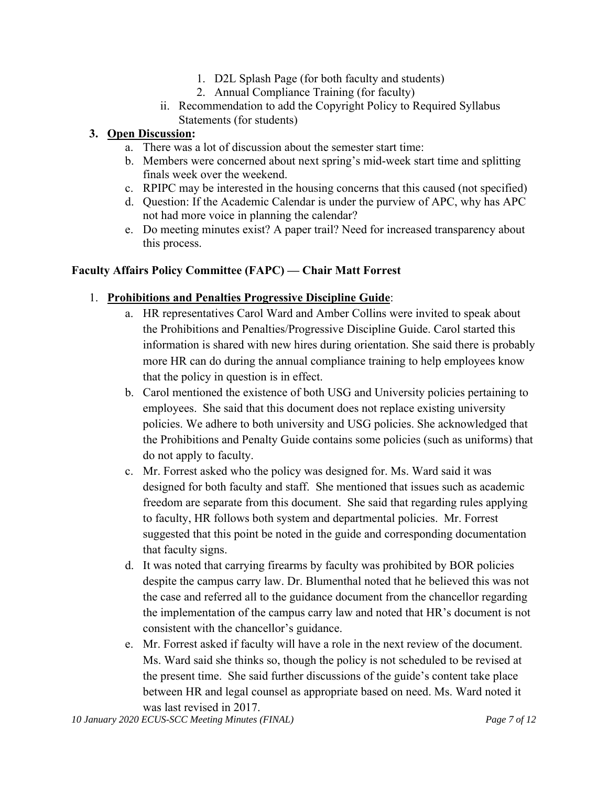- 1. D2L Splash Page (for both faculty and students)
- 2. Annual Compliance Training (for faculty)
- ii. Recommendation to add the Copyright Policy to Required Syllabus Statements (for students)

#### **3. Open Discussion:**

- a. There was a lot of discussion about the semester start time:
- b. Members were concerned about next spring's mid-week start time and splitting finals week over the weekend.
- c. RPIPC may be interested in the housing concerns that this caused (not specified)
- d. Question: If the Academic Calendar is under the purview of APC, why has APC not had more voice in planning the calendar?
- e. Do meeting minutes exist? A paper trail? Need for increased transparency about this process.

#### **Faculty Affairs Policy Committee (FAPC) — Chair Matt Forrest**

#### 1. **Prohibitions and Penalties Progressive Discipline Guide**:

- a. HR representatives Carol Ward and Amber Collins were invited to speak about the Prohibitions and Penalties/Progressive Discipline Guide. Carol started this information is shared with new hires during orientation. She said there is probably more HR can do during the annual compliance training to help employees know that the policy in question is in effect.
- b. Carol mentioned the existence of both USG and University policies pertaining to employees. She said that this document does not replace existing university policies. We adhere to both university and USG policies. She acknowledged that the Prohibitions and Penalty Guide contains some policies (such as uniforms) that do not apply to faculty.
- c. Mr. Forrest asked who the policy was designed for. Ms. Ward said it was designed for both faculty and staff. She mentioned that issues such as academic freedom are separate from this document. She said that regarding rules applying to faculty, HR follows both system and departmental policies. Mr. Forrest suggested that this point be noted in the guide and corresponding documentation that faculty signs.
- d. It was noted that carrying firearms by faculty was prohibited by BOR policies despite the campus carry law. Dr. Blumenthal noted that he believed this was not the case and referred all to the guidance document from the chancellor regarding the implementation of the campus carry law and noted that HR's document is not consistent with the chancellor's guidance.
- e. Mr. Forrest asked if faculty will have a role in the next review of the document. Ms. Ward said she thinks so, though the policy is not scheduled to be revised at the present time. She said further discussions of the guide's content take place between HR and legal counsel as appropriate based on need. Ms. Ward noted it was last revised in 2017.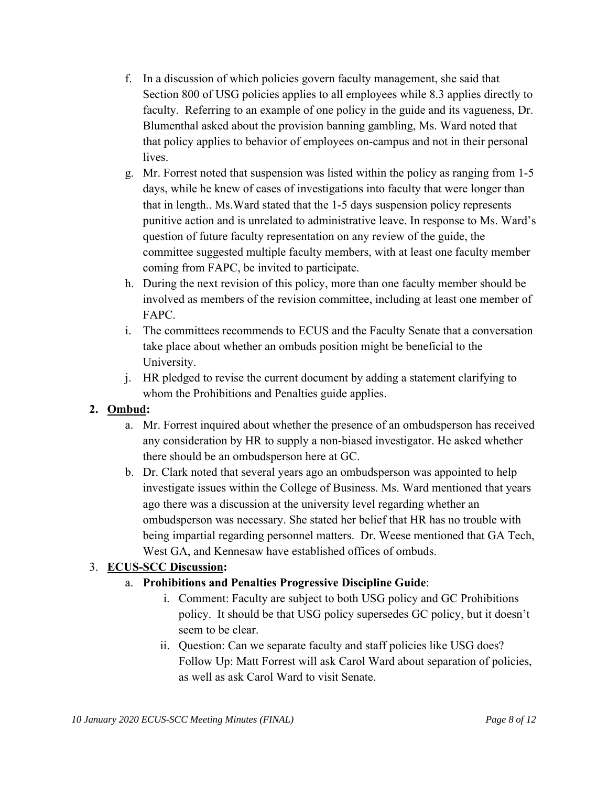- f. In a discussion of which policies govern faculty management, she said that Section 800 of USG policies applies to all employees while 8.3 applies directly to faculty. Referring to an example of one policy in the guide and its vagueness, Dr. Blumenthal asked about the provision banning gambling, Ms. Ward noted that that policy applies to behavior of employees on-campus and not in their personal lives.
- g. Mr. Forrest noted that suspension was listed within the policy as ranging from 1-5 days, while he knew of cases of investigations into faculty that were longer than that in length.. Ms.Ward stated that the 1-5 days suspension policy represents punitive action and is unrelated to administrative leave. In response to Ms. Ward's question of future faculty representation on any review of the guide, the committee suggested multiple faculty members, with at least one faculty member coming from FAPC, be invited to participate.
- h. During the next revision of this policy, more than one faculty member should be involved as members of the revision committee, including at least one member of FAPC.
- i. The committees recommends to ECUS and the Faculty Senate that a conversation take place about whether an ombuds position might be beneficial to the University.
- j. HR pledged to revise the current document by adding a statement clarifying to whom the Prohibitions and Penalties guide applies.

# **2. Ombud:**

- a. Mr. Forrest inquired about whether the presence of an ombudsperson has received any consideration by HR to supply a non-biased investigator. He asked whether there should be an ombudsperson here at GC.
- b. Dr. Clark noted that several years ago an ombudsperson was appointed to help investigate issues within the College of Business. Ms. Ward mentioned that years ago there was a discussion at the university level regarding whether an ombudsperson was necessary. She stated her belief that HR has no trouble with being impartial regarding personnel matters. Dr. Weese mentioned that GA Tech, West GA, and Kennesaw have established offices of ombuds.

# 3. **ECUS-SCC Discussion:**

# a. **Prohibitions and Penalties Progressive Discipline Guide**:

- i. Comment: Faculty are subject to both USG policy and GC Prohibitions policy. It should be that USG policy supersedes GC policy, but it doesn't seem to be clear.
- ii. Question: Can we separate faculty and staff policies like USG does? Follow Up: Matt Forrest will ask Carol Ward about separation of policies, as well as ask Carol Ward to visit Senate.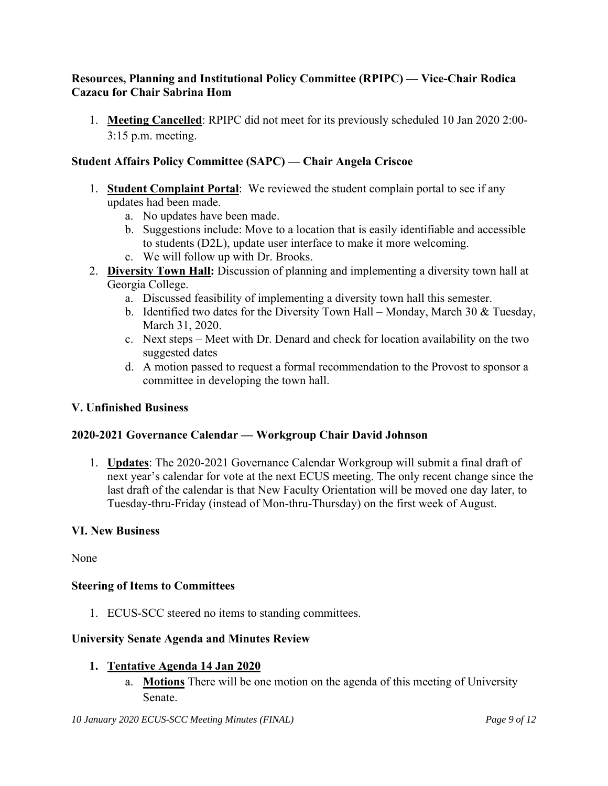#### **Resources, Planning and Institutional Policy Committee (RPIPC) — Vice-Chair Rodica Cazacu for Chair Sabrina Hom**

1. **Meeting Cancelled**: RPIPC did not meet for its previously scheduled 10 Jan 2020 2:00- 3:15 p.m. meeting.

#### **Student Affairs Policy Committee (SAPC) — Chair Angela Criscoe**

- 1. **Student Complaint Portal**: We reviewed the student complain portal to see if any updates had been made.
	- a. No updates have been made.
	- b. Suggestions include: Move to a location that is easily identifiable and accessible to students (D2L), update user interface to make it more welcoming.
	- c. We will follow up with Dr. Brooks.
- 2. **Diversity Town Hall:** Discussion of planning and implementing a diversity town hall at Georgia College.
	- a. Discussed feasibility of implementing a diversity town hall this semester.
	- b. Identified two dates for the Diversity Town Hall Monday, March 30  $&$  Tuesday, March 31, 2020.
	- c. Next steps Meet with Dr. Denard and check for location availability on the two suggested dates
	- d. A motion passed to request a formal recommendation to the Provost to sponsor a committee in developing the town hall.

#### **V. Unfinished Business**

#### **2020-2021 Governance Calendar — Workgroup Chair David Johnson**

1. **Updates**: The 2020-2021 Governance Calendar Workgroup will submit a final draft of next year's calendar for vote at the next ECUS meeting. The only recent change since the last draft of the calendar is that New Faculty Orientation will be moved one day later, to Tuesday-thru-Friday (instead of Mon-thru-Thursday) on the first week of August.

#### **VI. New Business**

None

#### **Steering of Items to Committees**

1. ECUS-SCC steered no items to standing committees.

#### **University Senate Agenda and Minutes Review**

#### **1. Tentative Agenda 14 Jan 2020**

a. **Motions** There will be one motion on the agenda of this meeting of University Senate.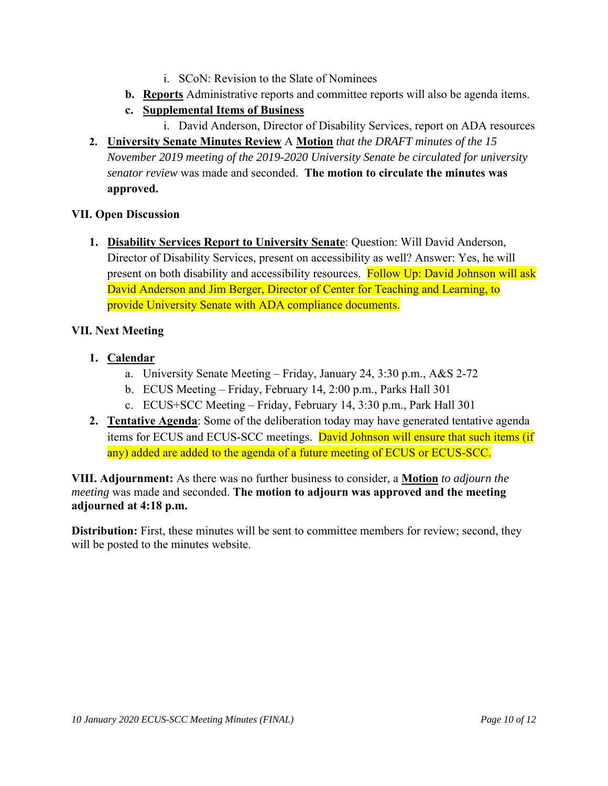- i. SCoN: Revision to the Slate of Nominees
- **b. Reports** Administrative reports and committee reports will also be agenda items.
- **c. Supplemental Items of Business** 
	- i. David Anderson, Director of Disability Services, report on ADA resources
- **2. University Senate Minutes Review** A **Motion** *that the DRAFT minutes of the 15 November 2019 meeting of the 2019-2020 University Senate be circulated for university senator review* was made and seconded. **The motion to circulate the minutes was approved.**

#### **VII. Open Discussion**

**1. Disability Services Report to University Senate**: Question: Will David Anderson, Director of Disability Services, present on accessibility as well? Answer: Yes, he will present on both disability and accessibility resources. Follow Up: David Johnson will ask David Anderson and Jim Berger, Director of Center for Teaching and Learning, to provide University Senate with ADA compliance documents.

#### **VII. Next Meeting**

- **1. Calendar**
	- a. University Senate Meeting Friday, January 24, 3:30 p.m., A&S 2-72
	- b. ECUS Meeting Friday, February 14, 2:00 p.m., Parks Hall 301
	- c. ECUS+SCC Meeting Friday, February 14, 3:30 p.m., Park Hall 301
- **2. Tentative Agenda**: Some of the deliberation today may have generated tentative agenda items for ECUS and ECUS-SCC meetings. David Johnson will ensure that such items (if any) added are added to the agenda of a future meeting of ECUS or ECUS-SCC.

**VIII. Adjournment:** As there was no further business to consider, a **Motion** *to adjourn the meeting* was made and seconded. **The motion to adjourn was approved and the meeting adjourned at 4:18 p.m.** 

**Distribution:** First, these minutes will be sent to committee members for review; second, they will be posted to the minutes website.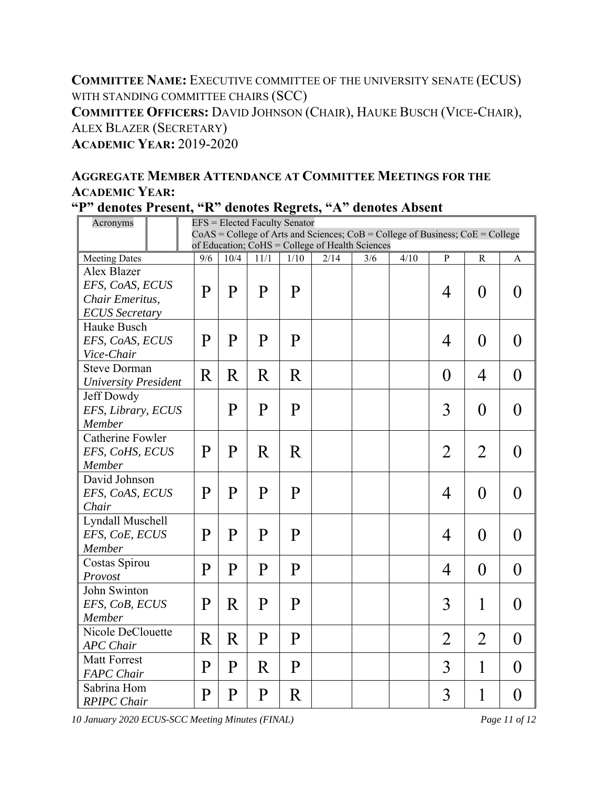# **COMMITTEE NAME:** EXECUTIVE COMMITTEE OF THE UNIVERSITY SENATE (ECUS) WITH STANDING COMMITTEE CHAIRS (SCC) **COMMITTEE OFFICERS:** DAVID JOHNSON (CHAIR), HAUKE BUSCH (VICE-CHAIR), ALEX BLAZER (SECRETARY) **ACADEMIC YEAR:** 2019-2020

# **AGGREGATE MEMBER ATTENDANCE AT COMMITTEE MEETINGS FOR THE ACADEMIC YEAR:**

| Acronyms                    |                                                 | EFS = Elected Faculty Senator                                                       |              |              |              |      |     |      |                |                  |                  |
|-----------------------------|-------------------------------------------------|-------------------------------------------------------------------------------------|--------------|--------------|--------------|------|-----|------|----------------|------------------|------------------|
|                             |                                                 | $CoAS = College$ of Arts and Sciences; $CoB = College$ of Business; $CoE = College$ |              |              |              |      |     |      |                |                  |                  |
|                             | of Education; CoHS = College of Health Sciences |                                                                                     |              |              |              |      |     |      |                |                  |                  |
| <b>Meeting Dates</b>        |                                                 | 9/6                                                                                 | 10/4         | 11/1         | 1/10         | 2/14 | 3/6 | 4/10 | ${\bf P}$      | $\mathbb{R}$     | A                |
| Alex Blazer                 |                                                 |                                                                                     |              |              |              |      |     |      |                |                  |                  |
|                             | EFS, CoAS, ECUS                                 |                                                                                     | P            | $\mathbf{P}$ | P            |      |     |      | 4              | $\boldsymbol{0}$ | $\theta$         |
| Chair Emeritus,             |                                                 | P                                                                                   |              |              |              |      |     |      |                |                  |                  |
| <b>ECUS</b> Secretary       |                                                 |                                                                                     |              |              |              |      |     |      |                |                  |                  |
| Hauke Busch                 |                                                 |                                                                                     |              |              |              |      |     |      |                |                  |                  |
| EFS, CoAS, ECUS             |                                                 | P                                                                                   | P            | $\mathbf P$  | $\mathbf{P}$ |      |     |      | 4              | $\theta$         | $\theta$         |
| Vice-Chair                  |                                                 |                                                                                     |              |              |              |      |     |      |                |                  |                  |
| <b>Steve Dorman</b>         |                                                 | $\rm R$                                                                             | R            | $\rm R$      | R            |      |     |      | $\theta$       | $\overline{4}$   | $\theta$         |
| <b>University President</b> |                                                 |                                                                                     |              |              |              |      |     |      |                |                  |                  |
| Jeff Dowdy                  |                                                 |                                                                                     |              |              |              |      |     |      |                |                  |                  |
| EFS, Library, ECUS          |                                                 |                                                                                     | P            | $\mathbf P$  | $\mathbf{P}$ |      |     |      | 3              | $\overline{0}$   | $\overline{0}$   |
| Member                      |                                                 |                                                                                     |              |              |              |      |     |      |                |                  |                  |
| <b>Catherine Fowler</b>     |                                                 |                                                                                     |              |              |              |      |     |      |                |                  |                  |
| EFS, CoHS, ECUS             |                                                 | P                                                                                   | $\mathbf{P}$ | R            | R            |      |     |      | $\overline{2}$ | $\overline{2}$   | $\overline{0}$   |
| Member                      |                                                 |                                                                                     |              |              |              |      |     |      |                |                  |                  |
| David Johnson               |                                                 |                                                                                     |              |              |              |      |     |      |                |                  |                  |
| EFS, CoAS, ECUS             |                                                 | P                                                                                   | $\mathbf{P}$ | $\mathbf{P}$ | $\mathbf{P}$ |      |     |      | 4              | $\theta$         | $\theta$         |
| Chair                       |                                                 |                                                                                     |              |              |              |      |     |      |                |                  |                  |
| Lyndall Muschell            |                                                 |                                                                                     |              |              |              |      |     |      |                |                  |                  |
| EFS, CoE, ECUS              |                                                 | P                                                                                   | P            | $\mathbf{P}$ | $\mathbf P$  |      |     |      | 4              | $\theta$         | $\theta$         |
| Member                      |                                                 |                                                                                     |              |              |              |      |     |      |                |                  |                  |
| Costas Spirou               |                                                 |                                                                                     |              |              |              |      |     |      |                |                  |                  |
| Provost                     |                                                 | $\mathbf{P}$                                                                        | $\mathbf{P}$ | $\mathbf{P}$ | $\mathbf{P}$ |      |     |      | 4              | $\boldsymbol{0}$ | $\overline{0}$   |
| John Swinton                |                                                 |                                                                                     |              |              |              |      |     |      |                |                  |                  |
| EFS, CoB, ECUS              |                                                 | P                                                                                   | R            | $\mathbf P$  | P            |      |     |      | 3              | 1                | $\overline{0}$   |
| Member                      |                                                 |                                                                                     |              |              |              |      |     |      |                |                  |                  |
| Nicole DeClouette           |                                                 |                                                                                     |              |              |              |      |     |      |                |                  |                  |
| <b>APC</b> Chair            |                                                 | R                                                                                   | R            | $\mathbf{P}$ | $\mathbf{P}$ |      |     |      | $\overline{2}$ | $\overline{2}$   | $\theta$         |
| <b>Matt Forrest</b>         |                                                 |                                                                                     |              |              |              |      |     |      |                |                  |                  |
| <b>FAPC</b> Chair           |                                                 | $\mathbf{P}$                                                                        | $\mathbf{P}$ | R            | $\mathbf{P}$ |      |     |      | 3              | 1                | $\theta$         |
| Sabrina Hom                 |                                                 |                                                                                     |              |              |              |      |     |      |                |                  |                  |
| <b>RPIPC</b> Chair          |                                                 | $\mathbf P$                                                                         | $\mathbf P$  | P            | R            |      |     |      | 3              | 1                | $\boldsymbol{0}$ |

*10 January 2020 ECUS-SCC Meeting Minutes (FINAL) Page 11 of 12*